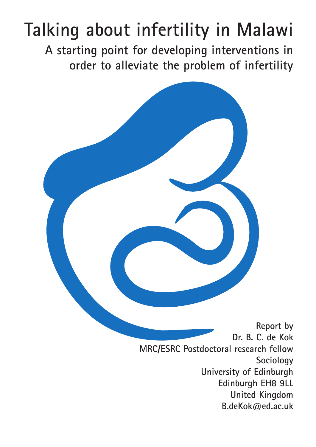# **Talking about infertility in Malawi**

**A starting point for developing interventions in order to alleviate the problem of infertility**



**Report by Dr. B. C. de Kok MRC/ESRC Postdoctoral research fellow Sociology University of Edinburgh Edinburgh EH8 9LL United Kingdom B.deKok@ed.ac.uk**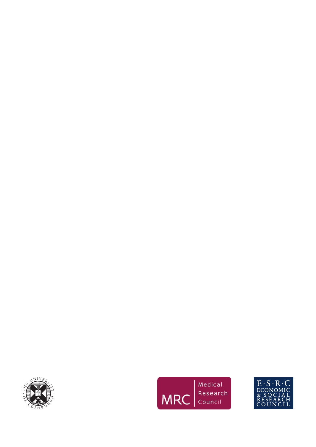



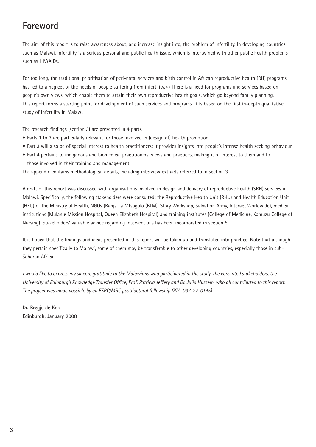# **Foreword**

The aim of this report is to raise awareness about, and increase insight into, the problem of infertility. In developing countries such as Malawi, infertility is a serious personal and public health issue, which is intertwined with other public health problems such as HIV/AIDs.

For too long, the traditional prioritisation of peri-natal services and birth control in African reproductive health (RH) programs has led to a neglect of the needs of people suffering from infertility.16, 3 There is a need for programs and services based on people's own views, which enable them to attain their own reproductive health goals, which go beyond family planning. This report forms a starting point for development of such services and programs. It is based on the first in-depth qualitative study of infertility in Malawi.

The research findings (section 3) are presented in 4 parts.

- Parts 1 to 3 are particularly relevant for those involved in (design of) health promotion.
- Part 3 will also be of special interest to health practitioners: it provides insights into people's intense health seeking behaviour.
- Part 4 pertains to indigenous and biomedical practitioners' views and practices, making it of interest to them and to those involved in their training and management.

The appendix contains methodological details, including interview extracts referred to in section 3.

A draft of this report was discussed with organisations involved in design and delivery of reproductive health (SRH) services in Malawi. Specifically, the following stakeholders were consulted: the Reproductive Health Unit (RHU) and Health Education Unit (HEU) of the Ministry of Health, NGOs (Banja La Mtsogolo (BLM), Story Workshop, Salvation Army, Interact Worldwide), medical institutions (Mulanje Mission Hospital, Queen Elizabeth Hospital) and training institutes (College of Medicine, Kamuzu College of Nursing). Stakeholders' valuable advice regarding interventions has been incorporated in section 5.

It is hoped that the findings and ideas presented in this report will be taken up and translated into practice. Note that although they pertain specifically to Malawi, some of them may be transferable to other developing countries, especially those in sub-Saharan Africa.

*I would like to express my sincere gratitude to the Malawians who participated in the study, the consulted stakeholders, the University of Edinburgh Knowledge Transfer Office, Prof. Patricia Jeffery and Dr. Julia Hussein, who all contributed to this report. The project was made possible by an ESRC/MRC postdoctoral fellowship (PTA-037-27-0145).*

**Dr. Bregje de Kok Edinburgh, January 2008**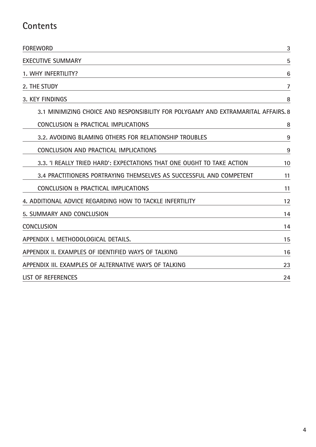# **Contents**

| <b>FOREWORD</b>                                                                   | 3  |
|-----------------------------------------------------------------------------------|----|
| <b>EXECUTIVE SUMMARY</b>                                                          | 5  |
| 1. WHY INFERTILITY?                                                               | 6  |
| 2. THE STUDY                                                                      | 7  |
| 3. KEY FINDINGS                                                                   | 8  |
| 3.1 MINIMIZING CHOICE AND RESPONSIBILITY FOR POLYGAMY AND EXTRAMARITAL AFFAIRS. 8 |    |
| CONCLUSION & PRACTICAL IMPLICATIONS                                               | 8  |
| 3.2. AVOIDING BLAMING OTHERS FOR RELATIONSHIP TROUBLES                            | 9  |
| CONCLUSION AND PRACTICAL IMPLICATIONS                                             | 9  |
| 3.3. 'I REALLY TRIED HARD': EXPECTATIONS THAT ONE OUGHT TO TAKE ACTION            | 10 |
| 3.4 PRACTITIONERS PORTRAYING THEMSELVES AS SUCCESSFUL AND COMPETENT               | 11 |
| CONCLUSION & PRACTICAL IMPLICATIONS                                               | 11 |
| 4. ADDITIONAL ADVICE REGARDING HOW TO TACKLE INFERTILITY                          | 12 |
| 5. SUMMARY AND CONCLUSION                                                         | 14 |
| <b>CONCLUSION</b>                                                                 | 14 |
| APPENDIX I. METHODOLOGICAL DETAILS.                                               | 15 |
| APPENDIX II. EXAMPLES OF IDENTIFIED WAYS OF TALKING                               | 16 |
| APPENDIX III. EXAMPLES OF ALTERNATIVE WAYS OF TALKING                             | 23 |
| <b>LIST OF REFERENCES</b>                                                         | 24 |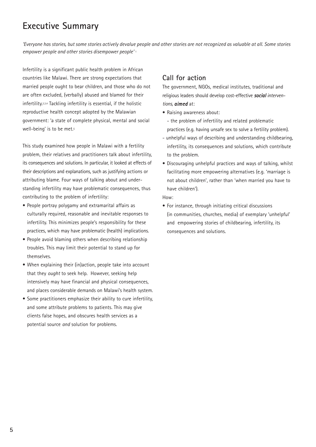# **Executive Summary**

*'Everyone has stories, but some stories actively devalue people and other stories are not recognized as valuable at all. Some stories empower people and other stories disempower people'* 1

Infertility is a significant public health problem in African countries like Malawi. There are strong expectations that married people ought to bear children, and those who do not are often excluded, (verbally) abused and blamed for their infertility.2,3,4 Tackling infertility is essential, if the holistic reproductive health concept adopted by the Malawian government: 'a state of complete physical, mental and social well-being' is to be met.<sup>5</sup>

This study examined how people in Malawi with a fertility problem, their relatives and practitioners talk about infertility, its consequences and solutions. In particular, it looked at effects of their descriptions and explanations, such as justifying actions or attributing blame. Four ways of talking about and understanding infertility may have problematic consequences, thus contributing to the problem of infertility:

- People portray polygamy and extramarital affairs as culturally required, reasonable and inevitable responses to infertility. This minimizes people's responsibility for these practices, which may have problematic (health) implications.
- People avoid blaming others when describing relationship troubles. This may limit their potential to stand up for themselves.
- When explaining their (in)action, people take into account that they *ought* to seek help. However, seeking help intensively may have financial and physical consequences, and places considerable demands on Malawi's health system.
- Some practitioners emphasize their ability to cure infertility, and some attribute problems to patients. This may give clients false hopes, and obscures health services as a potential source *and* solution for problems.

# **Call for action**

The government, NGOs, medical institutes, traditional and religious leaders should develop cost-effective *social interventions, aimed* at:

• Raising awareness about:

- the problem of infertility and related problematic practices (e.g. having unsafe sex to solve a fertility problem).

- unhelpful ways of describing and understanding childbearing, infertility, its consequences and solutions, which contribute to the problem.
- Discouraging unhelpful practices and ways of talking, whilst facilitating more empowering alternatives (e.g. 'marriage is not about children', rather than 'when married you have to have children').

How:

• For instance, through initiating critical discussions (in communities, churches, media) of exemplary 'unhelpful' and empowering stories of childbearing, infertility, its consequences and solutions.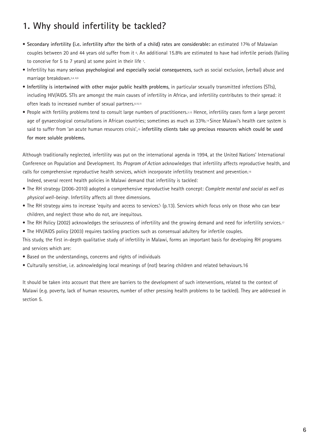# **1. Why should infertility be tackled?**

- **Secondary infertility (i.e. infertility after the birth of a child) rates are considerable:** an estimated 17% of Malawian couples between 20 and 44 years old suffer from it 6. An additional 15.8% are estimated to have had infertile periods (failing to conceive for 5 to 7 years) at some point in their life  $\overline{r}$ .
- Infertility has many **serious psychological and especially social consequences**, such as social exclusion, (verbal) abuse and marriage breakdown.3,4, 8,9
- **Infertility is intertwined with other major public health problems**, in particular sexually transmitted infections (STIs), including HIV/AIDS. STIs are amongst the main causes of infertility in Africa<sup>6</sup>, and infertility contributes to their spread: it often leads to increased number of sexual partners.8,10,11
- People with fertility problems tend to consult large numbers of practitioners.3,12 Hence, infertility cases form a large percent age of gynaecological consultations in African countries; sometimes as much as 33%.14 Since Malawi's health care system is said to suffer from 'an acute human resources crisis',15 **infertility clients take up precious resources which could be used for more soluble problems.**

Although traditionally neglected, infertility was put on the international agenda in 1994, at the United Nations' International Conference on Population and Development. Its *Program of Action* acknowledges that infertility affects reproductive health, and calls for comprehensive reproductive health services, which incorporate infertility treatment and prevention.16

Indeed, several recent health policies in Malawi demand that infertility is tackled:

- The RH strategy (2006-2010) adopted a comprehensive reproductive health concept: *Complete mental and social as well as physical well-being*5. Infertility affects all three dimensions.
- The RH strategy aims to increase 'equity and access to services.'<sup>5</sup> (p.13). Services which focus only on those who can bear children, and neglect those who do not, are inequitous.
- The RH Policy (2002) acknowledges the seriousness of infertility and the growing demand and need for infertility services.<sup>17</sup>
- The HIV/AIDS policy (2003) requires tackling practices such as consensual adultery for infertile couples.

This study, the first in-depth qualitative study of infertility in Malawi, forms an important basis for developing RH programs and services which are:

- Based on the understandings, concerns and rights of individuals
- Culturally sensitive, i.e. acknowledging local meanings of (not) bearing children and related behaviours.16

It should be taken into account that there are barriers to the development of such interventions, related to the context of Malawi (e.g. poverty, lack of human resources, number of other pressing health problems to be tackled). They are addressed in section 5.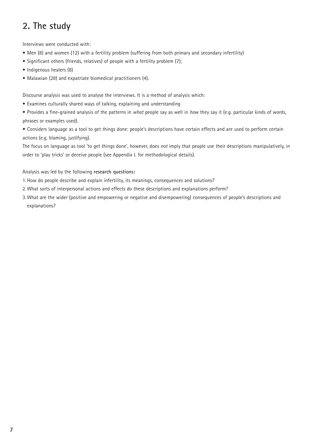# **2. The study**

Interviews were conducted with:

- Men (8) and women (12) with a fertility problem (suffering from both primary and secondary infertility)
- Significant others (friends, relatives) of people with a fertility problem (7);
- Indigenous healers (8)
- Malawian (28) and expatriate biomedical practitioners (4).

Discourse analysis was used to analyse the interviews. It is a method of analysis which:

- Examines culturally shared ways of talking, explaining and understanding
- Provides a fine-grained analysis of the patterns in *what* people say as well in *how* they say it (e.g. particular kinds of words, phrases or examples used).

• Considers language as a tool to get things done: people's descriptions have certain effects and are used to perform certain actions (e.g. blaming, justifying).

The focus on language as tool 'to get things done', however, does *not* imply that people use their descriptions manipulatively, in order to 'play tricks' or deceive people (see Appendix I. for methodological details).

#### Analysis was led by the following **research questions:**

- 1. How do people describe and explain infertility, its meanings, consequences and solutions?
- 2. What sorts of interpersonal actions and effects do these descriptions and explanations perform?
- 3. What are the wider (positive and empowering or negative and disempowering) consequences of people's descriptions and explanations?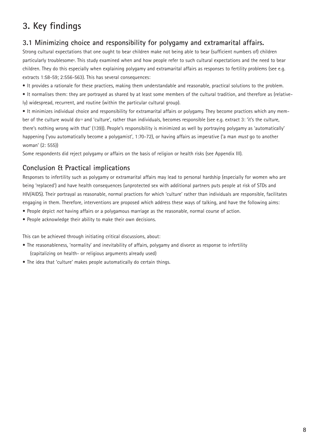# **3. Key findings**

## **3.1 Minimizing choice and responsibility for polygamy and extramarital affairs.**

Strong cultural expectations that one ought to bear children make not being able to bear (sufficient numbers of) children particularly troublesome<sup>8</sup>. This study examined when and how people refer to such cultural expectations and the need to bear children. They do this especially when explaining polygamy and extramarital affairs as responses to fertility problems (see e.g. extracts 1:58-59; 2:556-563). This has several consequences:

• It provides a rationale for these practices, making them understandable and reasonable, practical solutions to the problem.

• It normalises them: they are portrayed as shared by at least some members of the cultural tradition, and therefore as (relatively) widespread, recurrent, and routine (within the particular cultural group).

• It minimizes individual choice and responsibility for extramarital affairs or polygamy. They become practices which any member of the culture would do<sup>19</sup> and 'culture', rather than individuals, becomes responsible (see e.g. extract 3: 'it's the culture, there's nothing wrong with that' (139)). People's responsibility is minimized as well by portraying polygamy as 'automatically' happening ('you automatically become a polygamist', 1:70-72), or having affairs as imperative ('a man *must* go to another woman' (2: 555))

Some respondents did reject polygamy or affairs on the basis of religion or health risks (see Appendix III).

### **Conclusion & Practical implications**

Responses to infertility such as polygamy or extramarital affairs may lead to personal hardship (especially for women who are being 'replaced') and have health consequences (unprotected sex with additional partners puts people at risk of STDs and HIV/AIDS). Their portrayal as reasonable, normal practices for which 'culture' rather than individuals are responsible, facilitates engaging in them. Therefore, interventions are proposed which address these ways of talking, and have the following aims:

- People depict *not* having affairs or a polygamous marriage as the reasonable, normal course of action.
- People acknowledge their ability to make their own decisions.

This can be achieved through initiating critical discussions, about:

- The reasonableness, 'normality' and inevitability of affairs, polygamy and divorce as response to infertility (capitalizing on health- or religious arguments already used)
- The idea that 'culture' makes people automatically do certain things.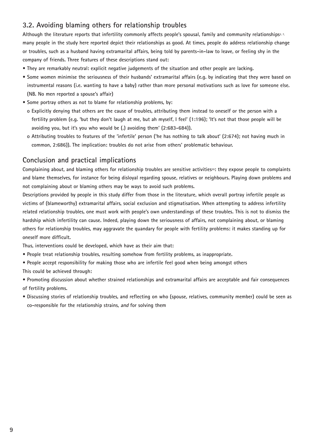### **3.2. Avoiding blaming others for relationship troubles**

Although the literature reports that infertility commonly affects people's spousal, family and community relationships<sup>2, 7,</sup> **many people in the study here reported depict their relationships as good. At times, people do address relationship change or troubles, such as a husband having extramarital affairs, being told by parents-in-law to leave, or feeling shy in the company of friends. Three features of these descriptions stand out:** 

- **They are remarkably neutral: explicit negative judgements of the situation and other people are lacking.**
- **Some women minimise the seriousness of their husbands' extramarital affairs (e.g. by indicating that they were based on instrumental reasons (i.e. wanting to have a baby) rather than more personal motivations such as love for someone else. (NB. No men reported a spouse's affair)**
- **Some portray others as not to blame for relationship problems, by:**
- **o Explicitly denying that others are the cause of troubles, attributing them instead to oneself or the person with a fertility problem (e.g. 'but they don't laugh at me, but ah myself, I feel' (1:196); 'It's not that those people will be avoiding you, but it's you who would be (.) avoiding them' (2:683-684)).**
- **o Attributing troubles to features of the 'infertile' person ('he has nothing to talk about' (2:674); not having much in common, 2:686)). The implication: troubles do not arise from others' problematic behaviour.**

### **Conclusion and practical implications**

Complaining about, and blaming others for relationship troubles are sensitive activities<sup>20</sup>: they expose people to complaints **and blame themselves, for instance for being disloyal regarding spouse, relatives or neighbours. Playing down problems and not complaining about or blaming others may be ways to avoid such problems.** 

**Descriptions provided by people in this study differ from those in the literature, which overall portray infertile people as victims of (blameworthy) extramarital affairs, social exclusion and stigmatisation. When attempting to address infertility related relationship troubles, one must work with people's own understandings of these troubles. This is not to dismiss the hardship which infertility can cause. Indeed, playing down the seriousness of affairs, not complaining about, or blaming others for relationship troubles, may aggravate the quandary for people with fertility problems: it makes standing up for oneself more difficult.**

**Thus, interventions could be developed, which have as their aim that:**

- **People treat relationship troubles, resulting somehow from fertility problems, as inappropriate.**
- **People accept responsibility for making those who are infertile feel good when being amongst others This could be achieved through:**

**• Promoting discussion about whether strained relationships and extramarital affairs are acceptable and fair consequences of fertility problems.**

**• Discussing stories of relationship troubles, and reflecting on who (spouse, relatives, community member) could be seen as co-responsible for the relationship strains, and for solving them**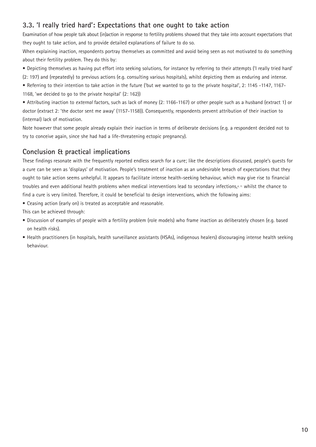### **3.3. 'I really tried hard': Expectations that one ought to take action**

Examination of how people talk about (in)action in response to fertility problems showed that they take into account expectations that they ought to take action, and to provide detailed explanations of failure to do so.

When explaining inaction, respondents portray themselves as committed and avoid being seen as not motivated to do something about their fertility problem. They do this by:

• Depicting themselves as having put effort into seeking solutions, for instance by referring to their attempts ('I really tried hard' (2: 197) and (repeatedly) to previous actions (e.g. consulting various hospitals), whilst depicting them as enduring and intense.

• Referring to their intention to take action in the future ('but we wanted to go to the private hospital', 2: 1145 -1147, 1167- 1168, 'we decided to go to the private hospital' (2: 162))

• Attributing inaction to *external* factors, such as lack of money (2: 1166-1167) or other people such as a husband (extract 1) or doctor (extract 2: 'the doctor sent me away' (1157-1158)). Consequently, respondents prevent attribution of their inaction to (internal) lack of motivation.

Note however that some people already explain their inaction in terms of deliberate decisions (e.g. a respondent decided not to try to conceive again, since she had had a life-threatening ectopic pregnancy).

# **Conclusion & practical implications**

These findings resonate with the frequently reported endless search for a cure; like the descriptions discussed, people's quests for a cure can be seen as 'displays' of motivation. People's treatment of inaction as an undesirable breach of expectations that they ought to take action seems unhelpful. It appears to facilitate intense health-seeking behaviour, which may give rise to financial troubles and even additional health problems when medical interventions lead to secondary infections,4, 11 whilst the chance to find a cure is very limited. Therefore, it could be beneficial to design interventions, which the following aims:

• Ceasing action (early on) is treated as acceptable and reasonable.

This can be achieved through:

- Discussion of examples of people with a fertility problem (role models) who frame inaction as deliberately chosen (e.g. based on health risks).
- Health practitioners (in hospitals, health surveillance assistants (HSAs), indigenous healers) discouraging intense health seeking behaviour.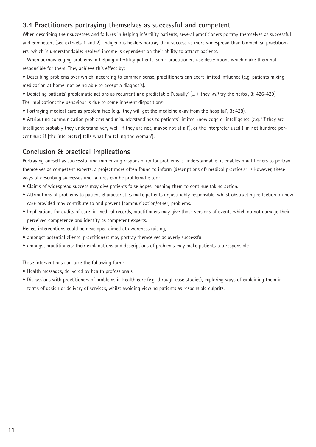### **3.4 Practitioners portraying themselves as successful and competent**

When describing their successes and failures in helping infertility patients, several practitioners portray themselves as successful and competent (see extracts 1 and 2). Indigenous healers portray their success as more widespread than biomedical practitioners, which is understandable: healers' income is dependent on their ability to attract patients.

When acknowledging problems in helping infertility patients, some practitioners use descriptions which make them not responsible for them. They achieve this effect by:

- Describing problems over which, according to common sense, practitioners can exert limited influence (e.g. patients mixing medication at home, not being able to accept a diagnosis).
- Depicting patients' problematic actions as recurrent and predictable ('usually' (….) 'they *will* try the herbs', 3: 426-429). The implication: the behaviour is due to some inherent disposition<sup>23</sup>.
- Portraying medical care as problem free (e.g. 'they will get the medicine okay from the hospital', 3: 428).

• Attributing communication problems and misunderstandings to patients' limited knowledge or intelligence (e.g. 'if they are intelligent probably they understand very well, if they are not, maybe not at all'), or the interpreter used (I'm not hundred percent sure if [the interpreter] tells what I'm telling the woman').

### **Conclusion & practical implications**

Portraying oneself as successful and minimizing responsibility for problems is understandable; it enables practitioners to portray themselves as competent experts, a project more often found to inform (descriptions of) medical practice.4, 21,22 However, these ways of describing successes and failures can be problematic too:

- Claims of widespread success may give patients false hopes, pushing them to continue taking action.
- Attributions of problems to patient characteristics make patients unjustifiably responsible, whilst obstructing reflection on how care provided may contribute to and prevent (communication/other) problems.
- Implications for audits of care: in medical records, practitioners may give those versions of events which do not damage their perceived competence and identity as competent experts.

Hence, interventions could be developed aimed at awareness raising,

- amongst potential clients: practitioners may portray themselves as overly successful.
- amongst practitioners: their explanations and descriptions of problems may make patients too responsible.

These interventions can take the following form:

- Health messages, delivered by health professionals
- Discussions with practitioners of problems in health care (e.g. through case studies), exploring ways of explaining them in terms of design or delivery of services, whilst avoiding viewing patients as responsible culprits.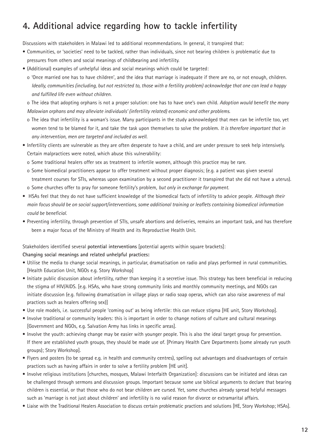# **4. Additional advice regarding how to tackle infertility**

Discussions with stakeholders in Malawi led to additional recommendations. In general, it transpired that:

- Communities, or 'societies' need to be tackled, rather than individuals, since not bearing children is problematic due to pressures from others and social meanings of childbearing and infertility.
- (Additional) examples of unhelpful ideas and social meanings which could be targeted:
	- o 'Once married one has to have children', and the idea that marriage is inadequate if there are no, or not enough, children. *Ideally, communities (including, but not restricted to, those with a fertility problem) acknowledge that one can lead a happy and fulfilled life even without children.*

o The idea that adopting orphans is not a proper solution: one has to have one's own child. *Adoption would benefit the many Malawian orphans and may alleviate individuals' (infertility related) economic and other problems.* 

- o The idea that infertility is a woman's issue. Many participants in the study acknowledged that men can be infertile too, yet women tend to be blamed for it, and take the task upon themselves to solve the problem. *It is therefore important that in any intervention, men are targeted and included as well.*
- Infertility clients are vulnerable as they are often desperate to have a child, and are under pressure to seek help intensively. Certain malpractices were noted, which abuse this vulnerability:
	- o Some traditional healers offer sex as treatment to infertile women, although this practice may be rare.
	- o Some biomedical practitioners appear to offer treatment without proper diagnosis; (e.g. a patient was given several treatment courses for STIs, whereas upon examination by a second practitioner it transpired that she did not have a uterus). o Some churches offer to pray for someone fertility's problem, *but only in exchange for payment.*
- HSAs feel that they do not have sufficient knowledge of the biomedical facts of infertility to advice people. *Although their main focus should be on social support/interventions, some additional training or leaflets containing biomedical information could be beneficial.*
- Preventing infertility, through prevention of STIs, unsafe abortions and deliveries, remains an important task, and has therefore been a major focus of the Ministry of Health and its Reproductive Health Unit.

Stakeholders identified several **potential interventions** [potential agents within square brackets]:

#### **Changing social meanings and related unhelpful practices:**

- Utilise the media to change social meanings, in particular, dramatisation on radio and plays performed in rural communities. [Health Education Unit, NGOs e.g. Story Workshop]
- Initiate public discussion about infertility, rather than keeping it a secretive issue. This strategy has been beneficial in reducing the stigma of HIV/AIDS. [e.g. HSAs, who have strong community links and monthly community meetings, and NGOs can initiate discussion (e.g. following dramatisation in village plays or radio soap operas, which can also raise awareness of mal practices such as healers offering sex)]
- Use role models, i.e. successful people 'coming out' as being infertile: this can reduce stigma [HE unit, Story Workshop].
- Involve traditional or community leaders: this is important in order to change notions of culture and cultural meanings [Government and NGOs, e.g. Salvation Army has links in specific areas].
- Involve the youth: achieving change may be easier with younger people. This is also the ideal target group for prevention. If there are established youth groups, they should be made use of. [Primary Health Care Departments (some already run youth groups); Story Workshop].
- Flyers and posters (to be spread e.g. in health and community centres), spelling out advantages and disadvantages of certain practices such as having affairs in order to solve a fertility problem [HE unit].
- Involve religious institutions [churches, mosques, Malawi Interfaith Organization]: discussions can be initiated and ideas can be challenged through sermons and discussion groups. Important because some use biblical arguments to declare that bearing children is essential, or that those who do not bear children are cursed. Yet, some churches already spread helpful messages such as 'marriage is not just about children' and infertility is no valid reason for divorce or extramarital affairs.
- Liaise with the Traditional Healers Association to discuss certain problematic practices and solutions [HE, Story Workshop; HSAs].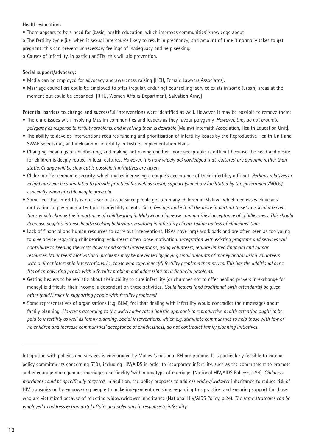#### **Health education:**

- There appears to be a need for (basic) health education, which improves communities' knowledge about:
- o The fertility cycle (i.e. when is sexual intercourse likely to result in pregnancy) and amount of time it normally takes to get pregnant: this can prevent unnecessary feelings of inadequacy and help seeking.
- o Causes of infertility, in particular STIs: this will aid prevention.

#### **Social support/advocacy:**

- Media can be employed for advocacy and awareness raising [HEU, Female Lawyers Associates].
- Marriage councillors could be employed to offer (regular, enduring) counselling; service exists in some (urban) areas at the moment but could be expanded. [RHU, Women Affairs Department, Salvation Army]

**Potential barriers to change and successful interventions** were identified as well. However, it may be possible to remove them:

- There are issues with involving Muslim communities and leaders as they favour polygamy. *However, they do not promote polygamy as response to fertility problems, and involving them is desirable* [Malawi Interfaith Association, Health Education Unit].
- The ability to develop interventions requires funding and prioritisation of infertility issues by the Reproductive Health Unit and SWAP secretariat, and inclusion of infertility in District Implementation Plans.
- Changing meanings of childbearing, and making not having children more acceptable, is difficult because the need and desire for children is deeply rooted in local cultures. *However, it is now widely acknowledged that 'cultures' are dynamic rather than static. Change will be slow but is possible if initiatives are taken.*
- Children offer economic security, which makes increasing a couple's acceptance of their infertility difficult. *Perhaps relatives or neighbours can be stimulated to provide practical (as well as social) support (somehow facilitated by the government/NGOs), especially when infertile people grow old*
- Some feel that infertility is not a serious issue since people get too many children in Malawi, which decreases clinicians' motivation to pay much attention to infertility clients. *Such feelings make it all the more important to set up social interven tions which change the importance of childbearing in Malawi and increase communities' acceptance of childlessness. This should decrease people's intense health seeking behaviour, resulting in infertility clients taking up less of clinicians' time.*
- Lack of financial and human resources to carry out interventions. HSAs have large workloads and are often seen as too young to give advice regarding childbearing, volunteers often loose motivation. *Integration with existing programs and services will contribute to keeping the costs down1 2 and social interventions, using volunteers, require limited financial and human resources. Volunteers' motivational problems may be prevented by paying small amounts of money and/or using volunteers with a direct interest in interventions, i.e. those who experience(d) fertility problems themselves. This has the additional bene fits of empowering people with a fertility problem and addressing their financial problems.*
- Getting healers to be realistic about their ability to cure infertility (or churches not to offer healing prayers in exchange for money) is difficult: their income is dependent on these activities. *Could healers (and traditional birth attendants) be given other (paid?) roles in supporting people with fertility problems?*
- Some representatives of organisations (e.g. BLM) feel that dealing with infertility would contradict their messages about family planning. *However, according to the widely advocated holistic approach to reproductive health attention ought to be paid to infertility as well as family planning. Social interventions, which e.g. stimulate communities to help those with few or no children and increase communities' acceptance of childlessness, do not contradict family planning initiatives.*

Integration with policies and services is encouraged by Malawi's national RH programme. It is particularly feasible to extend policy commitments concerning STDs, including HIV/AIDS in order to incorporate infertility, such as the commitment to promote and encourage monogamous marriages and fidelity 'within any type of marriage' (National HIV/AIDS Policy<sup>18</sup>, p.24). *Childless marriages could be specifically targeted*. In addition, the policy proposes to address *widow/widower* inheritance to reduce risk of HIV transmission by empowering people to make independent decisions regarding this practice, and ensuring support for those who are victimized because of rejecting widow/widower inheritance (National HIV/AIDS Policy, p.24). *The same strategies can be employed to address extramarital affairs and polygamy in response to infertility.*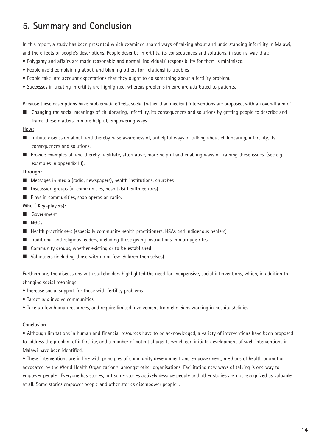# **5. Summary and Conclusion**

In this report, a study has been presented which examined shared ways of talking about and understanding infertility in Malawi, and the effects of people's descriptions. People describe infertility, its consequences and solutions, in such a way that:

- Polygamy and affairs are made reasonable and normal, individuals' responsibility for them is minimized.
- People avoid complaining about, and blaming others for, relationship troubles
- People take into account expectations that they ought to do something about a fertility problem.
- Successes in treating infertility are highlighted, whereas problems in care are attributed to patients.

Because these descriptions have problematic effects, social (rather than medical) interventions are proposed, with an **overall aim** of:

■ Changing the social meanings of childbearing, infertility, its consequences and solutions by getting people to describe and frame these matters in more helpful, empowering ways.

#### **How:**

- Initiate discussion about, and thereby raise awareness of, unhelpful ways of talking about childbearing, infertility, its consequences and solutions.
- Provide examples of, and thereby facilitate, alternative, more helpful and enabling ways of framing these issues. (see e.g. examples in appendix III).

#### **Through:**

- Messages in media (radio, newspapers), health institutions, churches
- Discussion groups (in communities, hospitals/ health centres)
- Plays in communities, soap operas on radio.

#### **Who ( Key-players):**

- Government
- NGOs
- Health practitioners (especially community health practitioners, HSAs and indigenous healers)
- Traditional and religious leaders, including those giving instructions in marriage rites
- Community groups, whether existing or **to be established**
- Volunteers (including those with no or few children themselves).

Furthermore, the discussions with stakeholders highlighted the need for **inexpensive**, social interventions, which, in addition to changing social meanings:

- Increase social support for those with fertility problems.
- Target *and* involve communities.
- Take up few human resources, and require limited involvement from clinicians working in hospitals/clinics.

#### **Conclusion**

• Although limitations in human and financial resources have to be acknowledged, a variety of interventions have been proposed to address the problem of infertility, and a number of potential agents which can initiate development of such interventions in Malawi have been identified.

• These interventions are in line with principles of community development and empowerment, methods of health promotion advocated by the World Health Organization26, amongst other organisations. Facilitating new ways of talking is one way to empower people: 'Everyone has stories, but some stories actively devalue people and other stories are not recognized as valuable at all. Some stories empower people and other stories disempower people'1.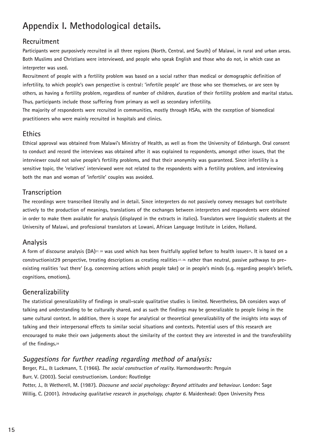# **Appendix I. Methodological details.**

# **Recruitment**

**Participants were purposively recruited in all three regions (North, Central, and South) of Malawi, in rural and urban areas. Both Muslims and Christians were interviewed, and people who speak English and those who do not, in which case an interpreter was used.** 

**Recruitment of people with a fertility problem was based on a social rather than medical or demographic definition of infertility, to which people's own perspective is central: 'infertile people' are those who see themselves, or are seen by others, as having a fertility problem, regardless of number of children, duration of their fertility problem and marital status. Thus, participants include those suffering from primary as well as secondary infertility.**

**The majority of respondents were recruited in communities, mostly through HSAs, with the exception of biomedical practitioners who were mainly recruited in hospitals and clinics.** 

### **Ethics**

**Ethical approval was obtained from Malawi's Ministry of Health, as well as from the University of Edinburgh. Oral consent to conduct and record the interviews was obtained after it was explained to respondents, amongst other issues, that the interviewer could not solve people's fertility problems, and that their anonymity was guaranteed. Since infertility is a sensitive topic, the 'relatives' interviewed were not related to the respondents with a fertility problem, and interviewing both the man and woman of 'infertile' couples was avoided.** 

### **Transcription**

**The recordings were transcribed literally and in detail. Since interpreters do not passively convey messages but contribute actively to the production of meanings, translations of the exchanges between interpreters and respondents were obtained in order to make them available for analysis (displayed in the extracts in italics). Translators were linguistic students at the University of Malawi, and professional translators at Lowani, African Language Institute in Leiden, Holland.**

### **Analysis**

A form of discourse analysis (DA)<sup>27, 28</sup> was used which has been fruitfully applied before to health issues<sup>25</sup>. It is based on a **constructionist29 perspective, treating descriptions as creating realities 27, 28, rather than neutral, passive pathways to preexisting realities 'out there' (e.g. concerning actions which people take) or in people's minds (e.g. regarding people's beliefs, cognitions, emotions).** 

### **Generalizability**

**The statistical generalizability of findings in small-scale qualitative studies is limited. Nevertheless, DA considers ways of talking and understanding to be culturally shared, and as such the findings may be generalizable to people living in the same cultural context. In addition, there is scope for analytical or theoretical generalizability of the insights into ways of talking and their interpersonal effects to similar social situations and contexts. Potential users of this research are encouraged to make their own judgements about the similarity of the context they are interested in and the transferability of the findings.28**

## **Suggestions for further reading regarding method of analysis:**

**Berger, P.L., & Luckmann, T. (1966). The social construction of reality. Harmondsworth: Penguin Burr, V. (2003). Social constructionism. London: Routledge Potter, J., & Wetherell, M. (1987). Discourse and social psychology: Beyond attitudes and behaviour. London: Sage Willig, C. (2001). Introducing qualitative research in psychology, chapter 6. Maidenhead: Open University Press**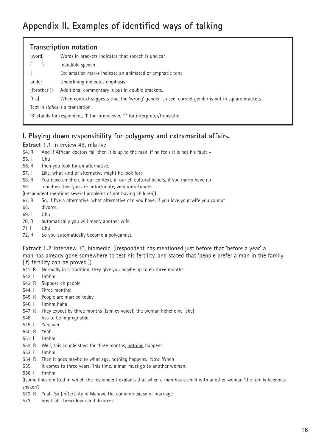# **Appendix II. Examples of identified ways of talking**

| Transcription notation                   |                                                                                                  |  |  |
|------------------------------------------|--------------------------------------------------------------------------------------------------|--|--|
| (word)                                   | Words in brackets indicates that speech is unclear                                               |  |  |
|                                          | Inaudible speech                                                                                 |  |  |
|                                          | Exclamation marks indicate an animated or emphatic tone                                          |  |  |
| <u>under</u>                             | Underlining indicates emphasis                                                                   |  |  |
| ((brother ))                             | Additional commentary is put in double brackets.                                                 |  |  |
| [his]                                    | When context suggests that the 'wrong' gender is used, correct gender is put in square brackets. |  |  |
| Text in <i>italics</i> is a translation. |                                                                                                  |  |  |
|                                          | 'R' stands for respondent, 'I' for interviewer, 'T' for interpreter/translator                   |  |  |

# **I. Playing down responsibility for polygamy and extramarital affairs.**

#### **Extract 1.1** Interview 48, relative

- 54. R And if African doctors fail then it is up to the man, if he feels it is not his fault -
- 55. I Uhu
- 56. R then you look for an alternative.
- 57. I Like, what kind of alternative might he look for?
- 58. R You need children. In our context, in our eh cultural beliefs, if you marry have no
- 59. children then you are unfortunate, very unfortunate.
- ((respondent mentions several problems of not having children))
- 67. R So, if I've a alternative, what alternative can you have, if you love your wife you cannot
- 68. divorce,
- 69. I Uhu
- 70. R automatically you will marry another wife.
- 71. I Uhu
- 72. R So you automatically become a polygamist.

**Extract 1.2** Interview 10, biomedic. ((respondent has mentioned just before that 'before a year' a man has already gone somewhere to test his fertility, and stated that 'people prefer a man in the family (if) fertility can be proved.))

- 541. R Normally in a tradition, they give you maybe up to eh three months.
- 542. I Hmhm
- 543. R Suppose eh people
- 544. I Three months!
- 545. R People are married today
- 546. I Hmhm haha
- 547. R They expect by three months ((smiley voice)) the woman hehehe he [she]
- 548. has to be impregnated.
- 549. I Yah, yah
- 550. R Yeah.
- 551. I Hmhm
- 552. R Well, this couple stays for three months, nothing happens.
- 553. I Hmhm
- 554. R Then it goes maybe to what age, nothing happens. Now. When
- 555. it comes to three years. This time, a man must go to another woman.
- 556. I Hmhm

((some lines omitted in which the respondent explains that when a man has a child with another woman 'the family becomes shaken')

- 572. R Yeah. So (in)fertility in Malawi, the common cause of marriage
- 573. break ah- breakdown and divorces.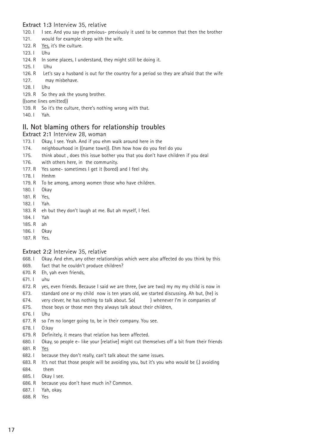#### **Extract 1:3** Interview 35, relative

- 120. I I see. And you say eh previous- previously it used to be common that then the brother
- 121. would for example sleep with the wife.
- 122. R Yes, it's the culture.
- 123. I Uhu
- 124. R In some places, I understand, they might still be doing it.
- 125. I Uhu
- 126. R Let's say a husband is out for the country for a period so they are afraid that the wife 127. may misbehave.
- 128. I Uhu
- 129. R So they ask the young brother.
- ((some lines omitted))
- 139. R So it's the culture, there's nothing wrong with that.
- 140. I Yah.

### **II. Not blaming others for relationship troubles**

#### **Extract 2:1** Interview 28, woman

- 173. I Okay, I see. Yeah. And if you ehm walk around here in the
- 174. neighbourhood in ((name town)). Ehm how how do you feel do you
- 175. think about , does this issue bother you that you don't have children if you deal
- 176. with others here, in the community.
- 177. R Yes some- sometimes I get it (bored) and I feel shy.
- 178. I Hmhm
- 179. R To be among, among women those who have children.
- 180. I Okay
- 181. R Yes,
- 182. I Yah.
- 183. R eh but they don't laugh at me. But ah myself, I feel.
- 184. I Yah
- 185. R ah
- 186. I Okay
- 187. R Yes.

#### **Extract 2:2** Interview 35, relative

- 668. I Okay. And ehm, any other relationships which were also affected do you think by this
- 669. fact that he couldn't produce children?
- 670. R Eh, yah even friends,
- 671. I uhu
- 672. R yes, even friends. Because I said we are three, (we are two) my my my child is now in
- 673. standard one or my child now is ten years old, we started discussing. Ah but, (he) is
- 674. very clever, he has nothing to talk about. So( ) whenever I'm in companies of
- 675. those boys or those men they always talk about their children,
- 676. I Uhu
- 677. R so I'm no longer going to, be in their company. You see.
- 678. I O:kay
- 679. R Definitely, it means that relation has been affected.
- 680. I Okay, so people e- like your [relative] might cut themselves off a bit from their friends
- 681. R Yes
- 682. I because they don't really, can't talk about the same issues.
- 683. R It's not that those people will be avoiding you, but it's you who would be (.) avoiding 684. them
- 685. I Okay I see.
- 686. R because you don't have much in? Common.
- 687. I Yah, okay.
- 688. R Yes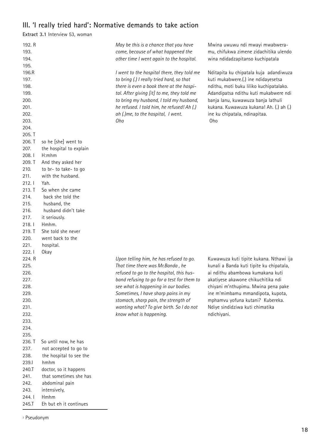# **III. 'I really tried hard': Normative demands to take action**

**Extract 3.1** Interview 53, woman

| 192. R<br>193.<br>194. |                                | May be this is a chance that you have<br>come, because of what happened the<br>other time I went again to the hospital. | Mwina uwuwu ndi mwayi mwabwera-<br>mu, chifukwa zimene zidachitika ulendo<br>wina ndidadzapitanso kuchipatala |
|------------------------|--------------------------------|-------------------------------------------------------------------------------------------------------------------------|---------------------------------------------------------------------------------------------------------------|
| 195.<br>196.R          |                                | I went to the hospital there, they told me                                                                              | Nditapita ku chipatala kuja adandiwuza                                                                        |
| 197.<br>198.           |                                | to bring (.) I really tried hard, so that<br>there is even a book there at the hospi-                                   | kuti mukabwere.(.) ine ndidayesetsa<br>ndithu, moti buku liliko kuchipatalako.                                |
| 199.<br>200.           |                                | tal. After giving [it] to me, they told me<br>to bring my husband, I told my husband,                                   | Adandipatsa ndithu kuti mukabwere ndi<br>banja lanu, kuwawuza banja lathuli                                   |
| 201.<br>202.           |                                | he refused. I told him, he refused! Ah (.)<br>ah (.)me, to the hospital, I went.                                        | kukana. Kuwawuza kukana! Ah. (.) ah (.)<br>ine ku chipatala, ndinapitaa.                                      |
| 203.                   |                                | Oho                                                                                                                     | Oho                                                                                                           |
| 204.                   |                                |                                                                                                                         |                                                                                                               |
| 205. T<br>206. T       | so he [she] went to            |                                                                                                                         |                                                                                                               |
| 207.                   | the hospital to explain        |                                                                                                                         |                                                                                                               |
| 208. l                 | H:mhm                          |                                                                                                                         |                                                                                                               |
| 209. T                 | And they asked her             |                                                                                                                         |                                                                                                               |
| 210.                   | to br- to take- to go          |                                                                                                                         |                                                                                                               |
| 211.<br>212.1          | with the husband.<br>Yah.      |                                                                                                                         |                                                                                                               |
| 213. T                 | So when she came               |                                                                                                                         |                                                                                                               |
| 214.                   | back she told the              |                                                                                                                         |                                                                                                               |
| 215.                   | husband, the                   |                                                                                                                         |                                                                                                               |
| 216.                   | husband didn't take            |                                                                                                                         |                                                                                                               |
| 217.<br>218. l         | it seriously.<br>Hmhm.         |                                                                                                                         |                                                                                                               |
| 219. T                 | She told she never             |                                                                                                                         |                                                                                                               |
| 220.                   | went back to the               |                                                                                                                         |                                                                                                               |
| 221.                   | hospital.                      |                                                                                                                         |                                                                                                               |
| 222.1                  | Okay                           |                                                                                                                         |                                                                                                               |
| 224. R<br>225.         |                                | Upon telling him, he has refused to go.<br>That time there was Mr.Banda, he                                             | Kuwawuza kuti tipite kukana. Nthawi ija<br>kunali a Banda kuti tipite ku chipatala,                           |
| 226.                   |                                | refused to go to the hospital, this hus-                                                                                | ai ndithu abambowa kumakana kuti                                                                              |
| 227.                   |                                | band refusing to go for a test for them to                                                                              | akatiyese akawone chikuchitika ndi                                                                            |
| 228.                   |                                | see what is happening in our bodies.                                                                                    | chiyani m'nthupimu. Mwina pena pake                                                                           |
| 229.                   |                                | Sometimes, I have sharp pains in my                                                                                     | ine m'mimbamu mmandipota, kupota,                                                                             |
| 230.<br>231.           |                                | stomach, sharp pain, the strength of<br>wanting what? To give birth. So I do not                                        | mphamvu yofuna kutani? Kubereka.<br>Ndiye sindidziwa kuti chimatika                                           |
| 232.                   |                                | know what is happening.                                                                                                 | ndichiyani.                                                                                                   |
| 233.                   |                                |                                                                                                                         |                                                                                                               |
| 234.                   |                                |                                                                                                                         |                                                                                                               |
| 235.<br>236. T         | So until now, he has           |                                                                                                                         |                                                                                                               |
| 237.                   | not accepted to go to          |                                                                                                                         |                                                                                                               |
| 238.                   | the hospital to see the        |                                                                                                                         |                                                                                                               |
| 239.1                  | hmhm                           |                                                                                                                         |                                                                                                               |
| 240.T                  | doctor, so it happens          |                                                                                                                         |                                                                                                               |
| 241.                   | that sometimes she has         |                                                                                                                         |                                                                                                               |
| 242.<br>243.           | abdominal pain<br>intensively, |                                                                                                                         |                                                                                                               |
| 244. l                 | Hmhm                           |                                                                                                                         |                                                                                                               |
| 245.T                  | Eh but eh it continues         |                                                                                                                         |                                                                                                               |

<sup>3</sup> Pseudonym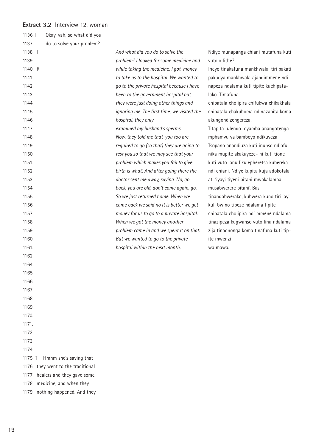#### **Extract 3.2** Interview 12, woman

| 1136. l | Okay, yah, so what did you         |                                             |                                         |
|---------|------------------------------------|---------------------------------------------|-----------------------------------------|
| 1137.   | do to solve your problem?          |                                             |                                         |
| 1138. T |                                    | And what did you do to solve the            | Ndiye munapanga chiani mutafuna kuti    |
| 1139.   |                                    | problem? I looked for some medicine and     | vutolo lithe?                           |
| 1140. R |                                    | while taking the medicine, I got money      | Ineyo tinakafuna mankhwala, tiri pakati |
| 1141.   |                                    | to take us to the hospital. We wanted to    | pakudya mankhwala ajandimmene ndi-      |
| 1142.   |                                    | go to the private hospital because I have   | napeza ndalama kuti tipite kuchipata-   |
| 1143.   |                                    | been to the government hospital but         | lako. Timafuna                          |
| 1144.   |                                    | they were just doing other things and       | chipatala cholipira chifukwa chikakhala |
| 1145.   |                                    | ignoring me. The first time, we visited the | chipatala chakuboma ndinazapita koma    |
| 1146.   |                                    | hospital, they only                         | akungondizengereza.                     |
| 1147.   |                                    | examined my husband's sperms.               | Titapita ulendo oyamba anangotenga      |
| 1148.   |                                    | Now, they told me that 'you too are         | mphamvu ya bamboyo ndikuyeza            |
| 1149.   |                                    | required to go (so that) they are going to  | Tsopano anandiuza kuti inunso ndiofu-   |
| 1150.   |                                    | test you so that we may see that your       | nika mupite akakuyeze- ni kuti tione    |
| 1151.   |                                    | problem which makes you fail to give        | kuti vuto lanu likulepheretsa kubereka  |
| 1152.   |                                    | birth is what! And after going there the    | ndi chiani. Ndiye kupita kuja adokotala |
| 1153.   |                                    | doctor sent me away, saying 'No, go         | ati 'iyayi tiyeni pitani mwakalamba     |
| 1154.   |                                    | back, you are old, don't come again, go.    | musabwerere pitani'. Basi               |
| 1155.   |                                    | So we just returned home. When we           | tinangobwerako, kubwera kuno tiri iayi  |
| 1156.   |                                    | came back we said no it is better we get    | kuli bwino tipeze ndalama tipite        |
| 1157.   |                                    | money for us to go to a private hospital.   | chipatala cholipira ndi mmene ndalama   |
| 1158.   |                                    | When we got the money another               | tinazipeza kugwanso vuto lina ndalama   |
| 1159.   |                                    | problem came in and we spent it on that.    | zija tinaononga koma tinafuna kuti tip- |
| 1160.   |                                    | But we wanted to go to the private          | ite mwenzi                              |
| 1161.   |                                    | hospital within the next month.             | wa mawa.                                |
| 1162.   |                                    |                                             |                                         |
| 1164.   |                                    |                                             |                                         |
| 1165.   |                                    |                                             |                                         |
| 1166.   |                                    |                                             |                                         |
| 1167.   |                                    |                                             |                                         |
| 1168.   |                                    |                                             |                                         |
| 1169.   |                                    |                                             |                                         |
| 1170.   |                                    |                                             |                                         |
| 1171.   |                                    |                                             |                                         |
| 1172.   |                                    |                                             |                                         |
| 1173.   |                                    |                                             |                                         |
| 1174.   |                                    |                                             |                                         |
| 1175. T | Hmhm she's saying that             |                                             |                                         |
|         | 1176. they went to the traditional |                                             |                                         |
|         | 1177. healers and they gave some   |                                             |                                         |
|         | 1178. medicine, and when they      |                                             |                                         |

1179. nothing happened. And they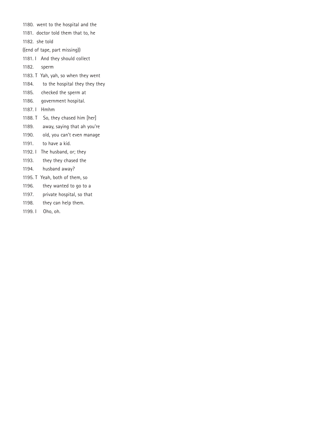- 1180. went to the hospital and the
- 1181. doctor told them that to, he
- 1182. she told
- ((end of tape, part missing))
- 1181. I And they should collect
- 1182. sperm
- 1183. T Yah, yah, so when they went
- 1184. to the hospital they they they
- 1185. checked the sperm at
- 1186. government hospital.
- 1187. I Hmhm
- 1188. T So, they chased him [her]
- 1189. away, saying that ah you're
- 1190. old, you can't even manage
- 1191. to have a kid.
- 1192. I The husband, or; they
- 1193. they they chased the
- 1194. husband away?
- 1195. T Yeah, both of them, so
- 1196. they wanted to go to a
- 1197. private hospital, so that
- 1198. they can help them.
- 1199. I Oho, oh.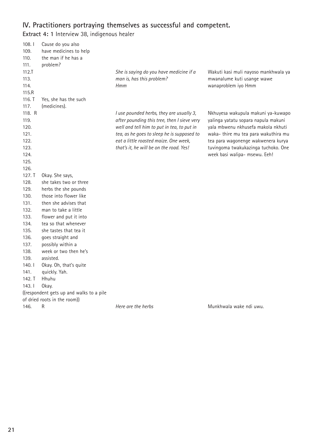### **IV. Practitioners portraying themselves as successful and competent.**

**Extract 4: 1** Interview 38, indigenous healer

| 108.1    | Cause do you also                        |                                             |                                      |
|----------|------------------------------------------|---------------------------------------------|--------------------------------------|
| 109.     | have medicines to help                   |                                             |                                      |
| 110.     | the man if he has a                      |                                             |                                      |
| 111.     | problem?                                 |                                             |                                      |
| $112.$ T |                                          | She is saying do you have medicine if a     | Wakuti kasi muli nayoso mankhwala ya |
| 113.     |                                          | man is, has this problem?                   | mwanalume kuti usange wawe           |
| 114.     |                                          | Hmm                                         | wanaproblem iyo Hmm                  |
| 115.R    |                                          |                                             |                                      |
| 116. T   | Yes, she has the such                    |                                             |                                      |
| 117.     | (medicines).                             |                                             |                                      |
| 118. R   |                                          | I use pounded herbs, they are usually 3,    | Nkhuyesa wakupula makuni ya-kuwapo   |
| 119.     |                                          | after pounding this tree, then I sieve very | yalinga yatatu sopara napula makuni  |
| 120.     |                                          | well and tell him to put in tea, to put in  | yala mbwenu nkhusefa makola nkhuti   |
| 121.     |                                          | tea, as he goes to sleep he is supposed to  | waka- thire mu tea para wakuthira mu |
| 122.     |                                          | eat a little roasted maize. One week,       | tea para wagonenge wakwenera kurya   |
| 123.     |                                          | that's it, he will be on the road. Yes!     | tuvingoma twakukazinga tuchoko. One  |
| 124.     |                                          |                                             | week basi walipa- msewu. Eeh!        |
| 125.     |                                          |                                             |                                      |
| 126.     |                                          |                                             |                                      |
| 127. T   | Okay. She says,                          |                                             |                                      |
| 128.     | she takes two or three                   |                                             |                                      |
| 129.     | herbs the she pounds                     |                                             |                                      |
| 130.     | those into flower like                   |                                             |                                      |
| 131.     | then she advises that                    |                                             |                                      |
| 132.     | man to take a little                     |                                             |                                      |
| 133.     | flower and put it into                   |                                             |                                      |
| 134.     | tea so that whenever                     |                                             |                                      |
| 135.     | she tastes that tea it                   |                                             |                                      |
| 136.     | goes straight and                        |                                             |                                      |
| 137.     | possibly within a                        |                                             |                                      |
| 138.     | week or two then he's                    |                                             |                                      |
| 139.     | assisted.                                |                                             |                                      |
| 140.1    | Okay. Oh, that's quite                   |                                             |                                      |
| 141.     | quickly. Yah.                            |                                             |                                      |
| 142. T   | Hhuhu                                    |                                             |                                      |
| 143.1    | Okay.                                    |                                             |                                      |
|          | ((respondent gets up and walks to a pile |                                             |                                      |
|          | of dried roots in the room))             |                                             |                                      |
| 146.     | R                                        | Here are the herbs                          | Munkhwala wake ndi uwu.              |
|          |                                          |                                             |                                      |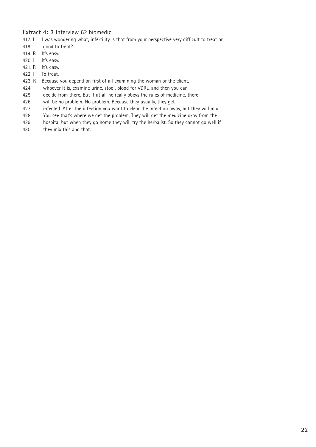#### **Extract 4: 3** Interview 62 biomedic.

- 417. I I was wondering what, infertility is that from your perspective very difficult to treat or
- 418. good to treat?
- 419. R It's easy.
- 420. I It's easy.
- 421. R It's easy.
- 422. I To treat.
- 423. R Because you depend on first of all examining the woman or the client,
- 424. whoever it is, examine urine, stool, blood for VDRL, and then you can
- 425. decide from there. But if at all he really obeys the rules of medicine, there
- 426. will be no problem. No problem. Because they usually, they get
- 427. infected. After the infection you want to clear the infection away, but they will mix.
- 428. You see that's where we get the problem. They will get the medicine okay from the
- 429. hospital but when they go home they will try the herbalist. So they cannot go well if
- 430. they mix this and that.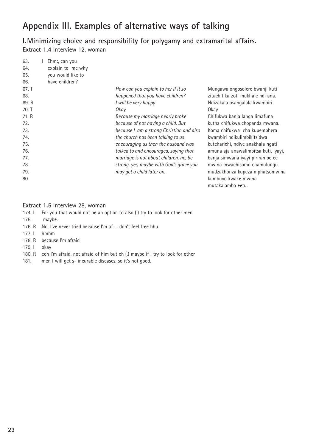# **Appendix III. Examples of alternative ways of talking**

**I.Minimizing choice and responsibility for polygamy and extramarital affairs. Extract 1.4** Interview 12, woman

| 63.   | Ehm:, can you     |                                          |                |
|-------|-------------------|------------------------------------------|----------------|
| 64.   | explain to me why |                                          |                |
| 65.   | you would like to |                                          |                |
| 66.   | have children?    |                                          |                |
| 67. T |                   | How can you explain to her if it so      | Mungawalon     |
| 68.   |                   | happened that you have children?         | zitachitika zo |
| 69. R |                   | I will be very happy                     | Ndizakala os   |
| 70. T |                   | Okay                                     | Okay           |
| 71. R |                   | Because my marriage nearly broke         | Chifukwa bar   |
| 72.   |                   | because of not having a child. But       | kutha chifuk   |
| 73.   |                   | because I am a strong Christian and also | Koma chifuk    |
| 74.   |                   | the church has been talking to us        | kwambiri ndi   |
| 75.   |                   | encouraging us then the husband was      | kutcharichi, ı |
| 76.   |                   | talked to and encouraged, saying that    | amuna aja ar   |
| 77.   |                   | marriage is not about children, no, be   | banja simwa    |
| 78.   |                   | strong, yes, maybe with God's grace you  | mwina mwad     |
| 79.   |                   | may get a child later on.                | mudzakhonza    |
| 80.   |                   |                                          | kumbuyo kwa    |

ngosolere bwanji kuti oti mukhale ndi ana. angalala kwambiri

nja langa limafuna wa chopanda mwana. wa cha kupemphera ikulimbikitsidwa ndiye anakhala ngati nawalimbitsa kuti, iyayi, na iyayi piriranibe ee chisomo chamulungu a kupeza mphatsomwina ake mwina mutakalamba eetu.

#### **Extract 1.5** Interview 28, woman

|        | 174. I For you that would not be an option to also (.) try to look for other men     |
|--------|--------------------------------------------------------------------------------------|
| 175.   | maybe.                                                                               |
|        | 176. R No, I've never tried because I'm af- I don't feel free hhu                    |
| 177.1  | hmhm                                                                                 |
|        | 178. R because I'm afraid                                                            |
| 179. l | okav                                                                                 |
|        | 180. R eeh I'm afraid, not afraid of him but eh (.) maybe if I try to look for other |
| 181.   | men I will get s- incurable diseases, so it's not good.                              |